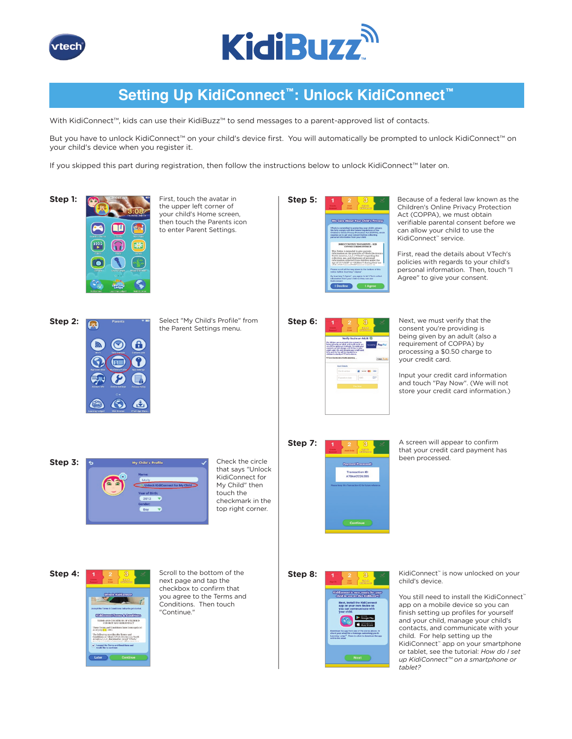



# **Setting Up KidiConnect™: Unlock KidiConnect™**

With KidiConnect™, kids can use their KidiBuzz™ to send messages to a parent-approved list of contacts.

But you have to unlock KidiConnect™ on your child's device first. You will automatically be prompted to unlock KidiConnect™ on your child's device when you register it.

If you skipped this part during registration, then follow the instructions below to unlock KidiConnect™ later on.



the upper left corner of your child's Home screen, then touch the Parents icon to enter Parent Settings.

|  | We Care About Your Child's Privacy                                                                                                                                                                                                                                                                                                                |
|--|---------------------------------------------------------------------------------------------------------------------------------------------------------------------------------------------------------------------------------------------------------------------------------------------------------------------------------------------------|
|  | VTech is committed to protecting your child's privacy.<br>We fully comply with the federal regulations of the<br>Children's Online Privacy Protection Act (COPPA), which<br>requires us to get your consent before collecting<br>personal information from your child.                                                                            |
|  | DIRECT NOTICE TO PARENTS - KID<br><b>CONNECT/KIDICONNECT</b>                                                                                                                                                                                                                                                                                      |
|  | This Notice is intended to give parents.<br>information on the practices of VTech Electronics<br>North America, L.L.C. ("VTech") regarding the<br>collection, use, and disclosure of personal<br>information collected from children under the<br>age of 13 ("child" or "children") during their use<br>of the USA ConnectWidth'spanner coming in |
|  | Please scroll all the way down to the bottom of this<br>notice before touching "I Agree".                                                                                                                                                                                                                                                         |
|  | By touching "I Agree", you agree to let VTech collect<br>information from your child so they can use<br>KidiConnect                                                                                                                                                                                                                               |

Step 5: **BECAUSE A** Because of a federal law known as the Children's Online Privacy Protection Act (COPPA), we must obtain verifiable parental consent before we can allow your child to use the KidiConnect™ service.

> First, read the details about VTech's policies with regards to your child's personal information. Then, touch "I Agree" to give your consent.



Step 2: **Come Parents** THE Select "My Child's Profile" from the Parent Settings menu.

| Step 6: | 3<br>×.<br>2<br>Kalled<br>Artel<br><b>CIVINI</b><br>Verify Vou're an Adult<br>Per US law, we must verify this concent is<br>being alven by an adult, and credit cards are<br>PayPa<br><b>Senared Inc.</b><br>one of the approved methods. To verify your<br>connect, we will choose a 50.50 fee to your<br>credit card. We will not save your credit card<br>info, and the fee will be donated to a<br>children's charity of VTech's choice.<br>VTech Electronics North America. | Next, we must verify that the<br>consent you're providing is<br>being given by an adult (also<br>requirement of COPPA) by<br>processing a \$0.50 charge to<br>vour credit card. |
|---------|----------------------------------------------------------------------------------------------------------------------------------------------------------------------------------------------------------------------------------------------------------------------------------------------------------------------------------------------------------------------------------------------------------------------------------------------------------------------------------|---------------------------------------------------------------------------------------------------------------------------------------------------------------------------------|
|         | <b>Card Datails</b><br>Card is anti-et<br>nis i<br>5 againstance change<br><b>Address</b>                                                                                                                                                                                                                                                                                                                                                                                        | Input your credit card inform.<br>and touch "Pay Now". (We w<br>store your credit card informa                                                                                  |

consent you're providing is being given by an adult (also a requirement of COPPA) by processing a \$0.50 charge to your credit card.

Input your credit card information and touch "Pay Now". (We will not store your credit card information.)



that says "Unlock KidiConnect for My Child" then touch the checkmark in the top right corner.

# Transaction ID<br>A70AA22262B

**Step 7:** 1 2 3  $\rightarrow$  A screen will appear to confirm that your credit card payment has been processed.



**Step 4:**  $\begin{array}{|c|c|c|c|c|}\n\hline\n\textbf{1} & \textbf{2} & \textbf{3} & \textbf{3} & \textbf{6} \\
\hline\n\end{array}$  Scroll to the bottom of the next page and tap the checkbox to confirm that you agree to the Terms and Conditions. Then touch "Continue."



Step 8: **KidiConnect**™ is now unlocked on your child's device.

> You still need to install the KidiConnect™ app on a mobile device so you can finish setting up profiles for yourself and your child, manage your child's contacts, and communicate with your child. For help setting up the KidiConnect™ app on your smartphone or tablet, see the tutorial: *How do I set up KidiConnect™ on a smartphone or tablet?*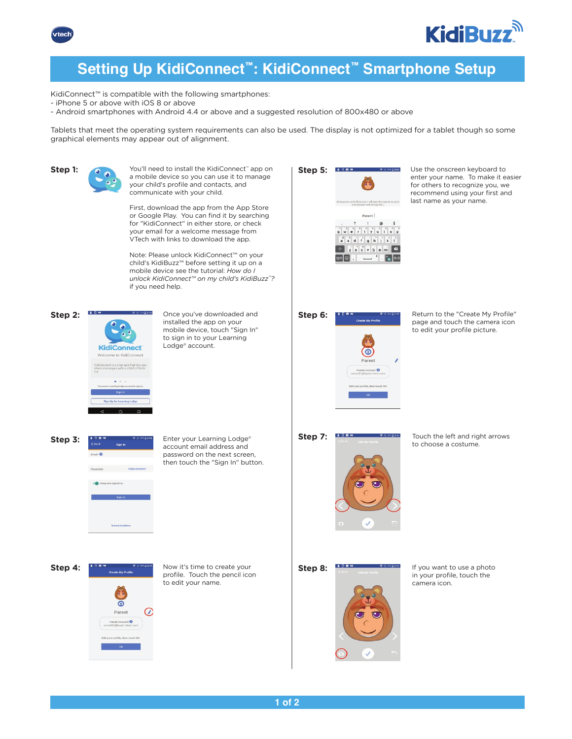



# **Setting Up KidiConnect™: KidiConnect™ Smartphone Setup**

KidiConnect™ is compatible with the following smartphones:

- iPhone 5 or above with iOS 8 or above
- Android smartphones with Android 4.4 or above and a suggested resolution of 800x480 or above

Tablets that meet the operating system requirements can also be used. The display is not optimized for a tablet though so some graphical elements may appear out of alignment.

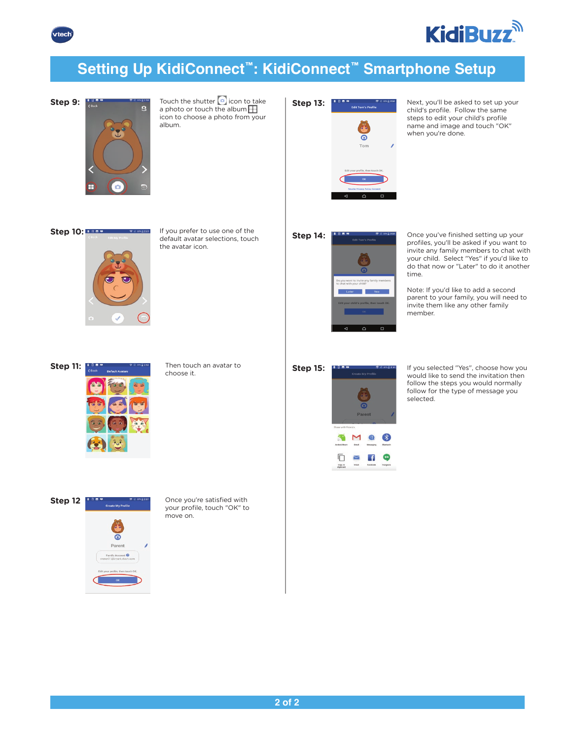



# **Setting Up KidiConnect™: KidiConnect™ Smartphone Setup**



**Step 9:**  $\begin{array}{ccc}\n\text{First} & \text{First} \\
\text{First} & \text{first} \\
\text{Second} & \text{first} \\
\text{Second} & \text{first} \\
\text{first} & \text{first} \\
\text{first} & \text{first} \\
\text{first} & \text{first} \\
\text{first} & \text{first} \\
\text{first} & \text{first} \\
\text{first} & \text{first} \\
\text{first} & \text{first} \\
\text{first} & \text{first} \\
\text{first} & \text{first} \\
\text{first} & \text{first} \\
\text{first} & \text{first} \\
\text{first} & \text{first} \\
\text{first} & \text{first$ a photo or touch the album $\Box$ icon to choose a photo from your album.



Tom

 $\triangle$ 

**Step 13:** Next, you'll be asked to set up your child's profile. Follow the same steps to edit your child's profile name and image and touch "OK" when you're done.





default avatar selections, touch the avatar icon.

| --                                                                            |                           | $R = 204 = 2.51$ |
|-------------------------------------------------------------------------------|---------------------------|------------------|
|                                                                               | <b>Edit Tom's Profile</b> |                  |
|                                                                               |                           |                  |
| Do you want to invite any family members<br>to chat with your child?<br>Later |                           | Yes              |
| Edit your child's profile, then touch OK.                                     | oĸ                        |                  |
|                                                                               |                           |                  |

**Step 14: CHELE STEP SECONDER STARBULGERY** Once you've finished setting up your profiles, you'll be asked if you want to invite any family members to chat with your child. Select "Yes" if you'd like to do that now or "Later" to do it another time.

> Note: If you'd like to add a second parent to your family, you will need to invite them like any other family member.



**Step 11:** Then touch an avatar to choose it.

| tep 15: | .                  | <b>Create My Profile</b>  | 77 E 204 E 201 |
|---------|--------------------|---------------------------|----------------|
|         |                    |                           |                |
|         |                    |                           |                |
|         |                    |                           |                |
|         |                    |                           |                |
|         |                    | Parent                    |                |
|         | Share with Friends |                           |                |
|         |                    |                           |                |
|         | Android Beam       | Omail<br><b>Messaging</b> | Bluetooth      |

Ō

 $\mathbf{f}$  $\geq$ Email Copy to<br>clipbeard

**Step 15: If If you selected "Yes", choose how you** would like to send the invitation then follow the steps you would normally follow for the type of message you selected.



**Step 12 Once you're satisfied with** your profile, touch "OK" to move on.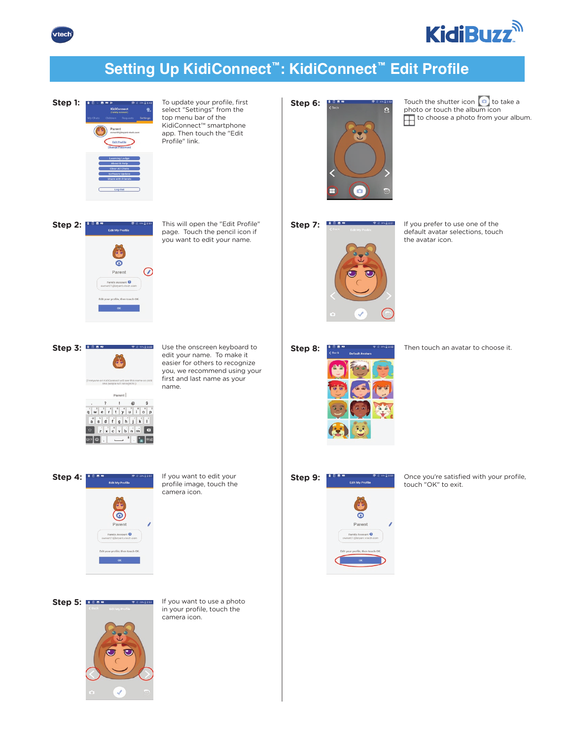



# **Setting Up KidiConnect™: KidiConnect™ Edit Profile**